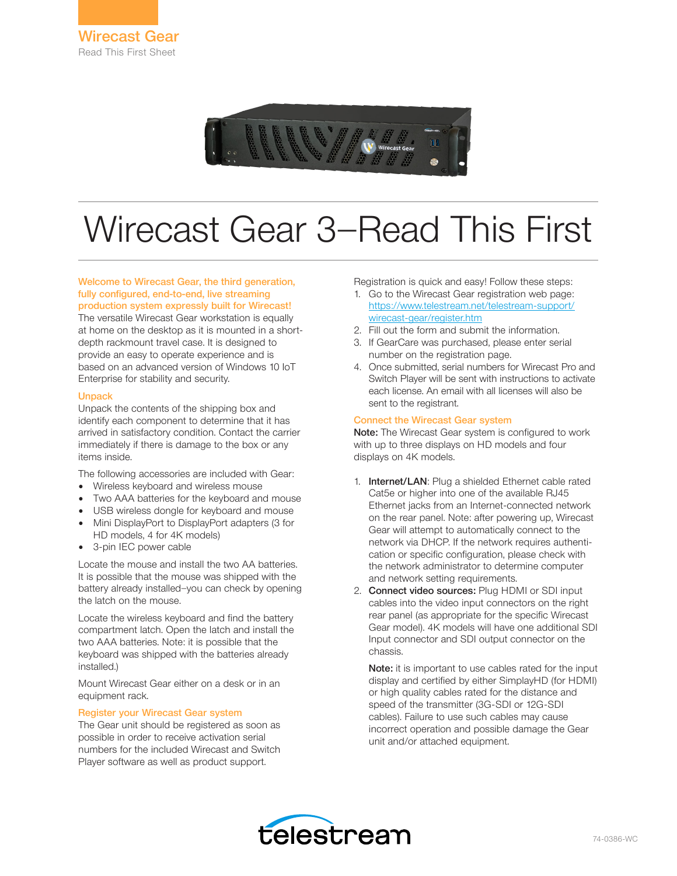

# Wirecast Gear 3—Read This First

### Welcome to Wirecast Gear, the third generation, fully configured, end-to-end, live streaming production system expressly built for Wirecast!

The versatile Wirecast Gear workstation is equally at home on the desktop as it is mounted in a shortdepth rackmount travel case. It is designed to provide an easy to operate experience and is based on an advanced version of Windows 10 IoT Enterprise for stability and security.

## Unpack

Unpack the contents of the shipping box and identify each component to determine that it has arrived in satisfactory condition. Contact the carrier immediately if there is damage to the box or any items inside.

The following accessories are included with Gear:

- Wireless keyboard and wireless mouse
- Two AAA batteries for the keyboard and mouse
- USB wireless dongle for keyboard and mouse
- Mini DisplayPort to DisplayPort adapters (3 for HD models, 4 for 4K models)
- 3-pin IEC power cable

Locate the mouse and install the two AA batteries. It is possible that the mouse was shipped with the battery already installed—you can check by opening the latch on the mouse.

Locate the wireless keyboard and find the battery compartment latch. Open the latch and install the two AAA batteries. Note: it is possible that the keyboard was shipped with the batteries already installed.)

Mount Wirecast Gear either on a desk or in an equipment rack.

## Register your Wirecast Gear system

The Gear unit should be registered as soon as possible in order to receive activation serial numbers for the included Wirecast and Switch Player software as well as product support.

Registration is quick and easy! Follow these steps:

- 1. Go to the Wirecast Gear registration web page: https://www.telestream.net/telestream-support/ wirecast-gear/register.htm
- 2. Fill out the form and submit the information.
- 3. If GearCare was purchased, please enter serial number on the registration page.
- 4. Once submitted, serial numbers for Wirecast Pro and Switch Player will be sent with instructions to activate each license. An email with all licenses will also be sent to the registrant.

## Connect the Wirecast Gear system

Note: The Wirecast Gear system is configured to work with up to three displays on HD models and four displays on 4K models.

- 1. Internet/LAN: Plug a shielded Ethernet cable rated Cat5e or higher into one of the available RJ45 Ethernet jacks from an Internet-connected network on the rear panel. Note: after powering up, Wirecast Gear will attempt to automatically connect to the network via DHCP. If the network requires authentication or specific configuration, please check with the network administrator to determine computer and network setting requirements.
- 2. Connect video sources: Plug HDMI or SDI input cables into the video input connectors on the right rear panel (as appropriate for the specific Wirecast Gear model). 4K models will have one additional SDI Input connector and SDI output connector on the chassis.

Note: it is important to use cables rated for the input display and certified by either SimplayHD (for HDMI) or high quality cables rated for the distance and speed of the transmitter (3G-SDI or 12G-SDI cables). Failure to use such cables may cause incorrect operation and possible damage the Gear unit and/or attached equipment.